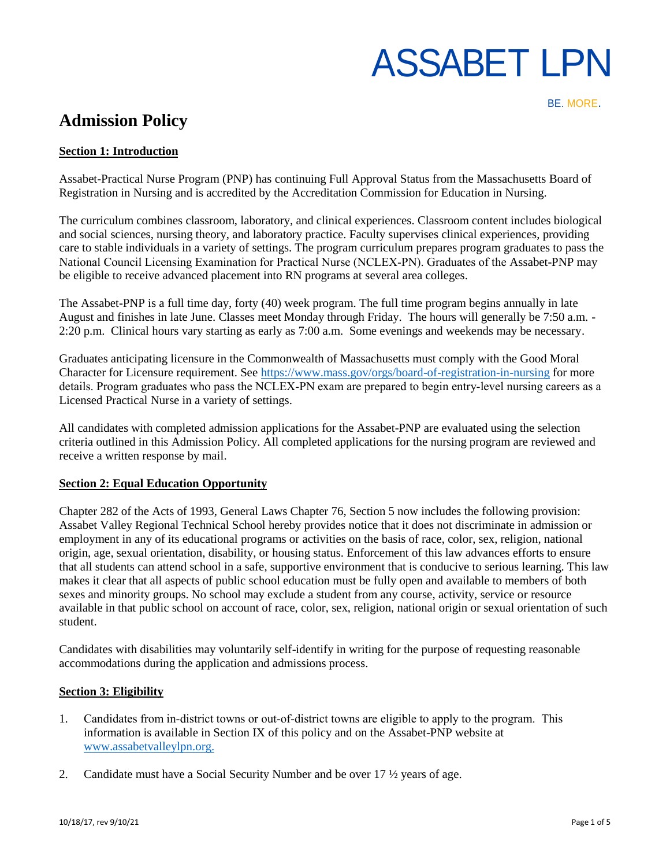BE. MORE.

# **Admission Policy**

# **Section 1: Introduction**

Assabet-Practical Nurse Program (PNP) has continuing Full Approval Status from the Massachusetts Board of Registration in Nursing and is accredited by the Accreditation Commission for Education in Nursing.

The curriculum combines classroom, laboratory, and clinical experiences. Classroom content includes biological and social sciences, nursing theory, and laboratory practice. Faculty supervises clinical experiences, providing care to stable individuals in a variety of settings. The program curriculum prepares program graduates to pass the National Council Licensing Examination for Practical Nurse (NCLEX‐PN). Graduates of the Assabet-PNP may be eligible to receive advanced placement into RN programs at several area colleges.

The Assabet-PNP is a full time day, forty (40) week program. The full time program begins annually in late August and finishes in late June. Classes meet Monday through Friday. The hours will generally be 7:50 a.m. - 2:20 p.m. Clinical hours vary starting as early as 7:00 a.m. Some evenings and weekends may be necessary.

Graduates anticipating licensure in the Commonwealth of Massachusetts must comply with the Good Moral Character for Licensure requirement. See<https://www.mass.gov/orgs/board-of-registration-in-nursing> for more details. Program graduates who pass the NCLEX‐PN exam are prepared to begin entry‐level nursing careers as a Licensed Practical Nurse in a variety of settings.

All candidates with completed admission applications for the Assabet-PNP are evaluated using the selection criteria outlined in this Admission Policy. All completed applications for the nursing program are reviewed and receive a written response by mail.

## **Section 2: Equal Education Opportunity**

Chapter 282 of the Acts of 1993, General Laws Chapter 76, Section 5 now includes the following provision: Assabet Valley Regional Technical School hereby provides notice that it does not discriminate in admission or employment in any of its educational programs or activities on the basis of race, color, sex, religion, national origin, age, sexual orientation, disability, or housing status. Enforcement of this law advances efforts to ensure that all students can attend school in a safe, supportive environment that is conducive to serious learning. This law makes it clear that all aspects of public school education must be fully open and available to members of both sexes and minority groups. No school may exclude a student from any course, activity, service or resource available in that public school on account of race, color, sex, religion, national origin or sexual orientation of such student.

Candidates with disabilities may voluntarily self-identify in writing for the purpose of requesting reasonable accommodations during the application and admissions process.

## **Section 3: Eligibility**

- 1. Candidates from in‐district towns or out‐of‐district towns are eligible to apply to the program. This information is available in Section IX of this policy and on the Assabet-PNP website at [www.assabetvalleylpn.org.](file:///C:/Users/dbrown/Downloads/www.assabetvalleylpn.org)
- 2. Candidate must have a Social Security Number and be over 17 ½ years of age.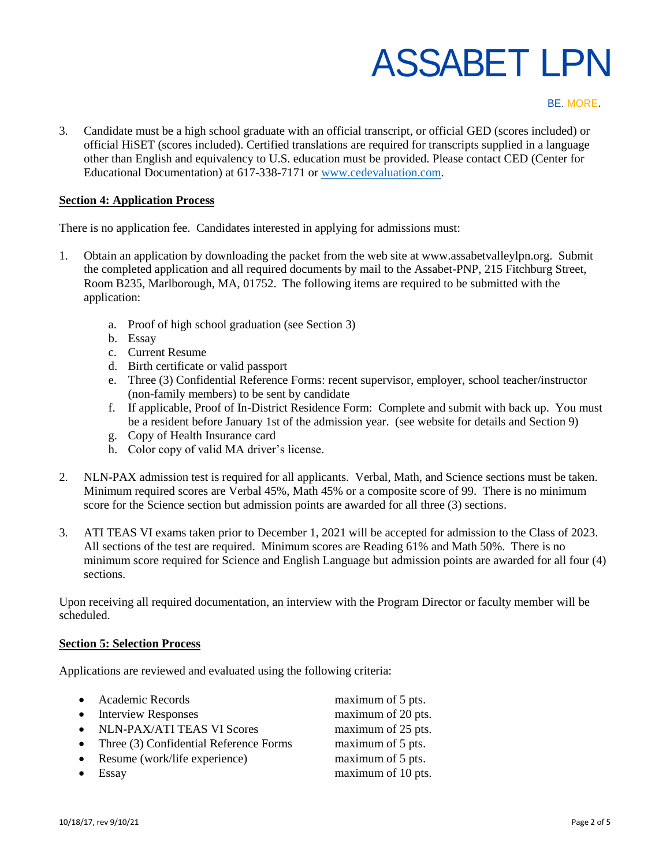#### BE. MORE.

3. Candidate must be a high school graduate with an official transcript, or official GED (scores included) or official HiSET (scores included). Certified translations are required for transcripts supplied in a language other than English and equivalency to U.S. education must be provided. Please contact CED (Center for Educational Documentation) at 617-338-7171 o[r www.cedevaluation.com.](file:///C:/Users/dbrown/Downloads/www.cedevaluation.com)

## **Section 4: Application Process**

There is no application fee. Candidates interested in applying for admissions must:

- 1. Obtain an application by downloading the packet from the web site at www.assabetvalleylpn.org. Submit the completed application and all required documents by mail to the Assabet-PNP, 215 Fitchburg Street, Room B235, Marlborough, MA, 01752. The following items are required to be submitted with the application:
	- a. Proof of high school graduation (see Section 3)
	- b. Essay
	- c. Current Resume
	- d. Birth certificate or valid passport
	- e. Three (3) Confidential Reference Forms: recent supervisor, employer, school teacher/instructor (non-family members) to be sent by candidate
	- f. If applicable, Proof of In-District Residence Form: Complete and submit with back up. You must be a resident before January 1st of the admission year. (see website for details and Section 9)
	- g. Copy of Health Insurance card
	- h. Color copy of valid MA driver's license.
- 2. NLN-PAX admission test is required for all applicants. Verbal, Math, and Science sections must be taken. Minimum required scores are Verbal 45%, Math 45% or a composite score of 99. There is no minimum score for the Science section but admission points are awarded for all three (3) sections.
- 3. ATI TEAS VI exams taken prior to December 1, 2021 will be accepted for admission to the Class of 2023. All sections of the test are required. Minimum scores are Reading 61% and Math 50%. There is no minimum score required for Science and English Language but admission points are awarded for all four (4) sections.

Upon receiving all required documentation, an interview with the Program Director or faculty member will be scheduled.

## **Section 5: Selection Process**

Applications are reviewed and evaluated using the following criteria:

| • Academic Records                         | maximum of 5 pts.  |
|--------------------------------------------|--------------------|
| • Interview Responses                      | maximum of 20 pts. |
| • NLN-PAX/ATI TEAS VI Scores               | maximum of 25 pts. |
| • Three $(3)$ Confidential Reference Forms | maximum of 5 pts.  |
| • Resume (work/life experience)            | maximum of 5 pts.  |
| $\bullet$ Essay                            | maximum of 10 pts. |
|                                            |                    |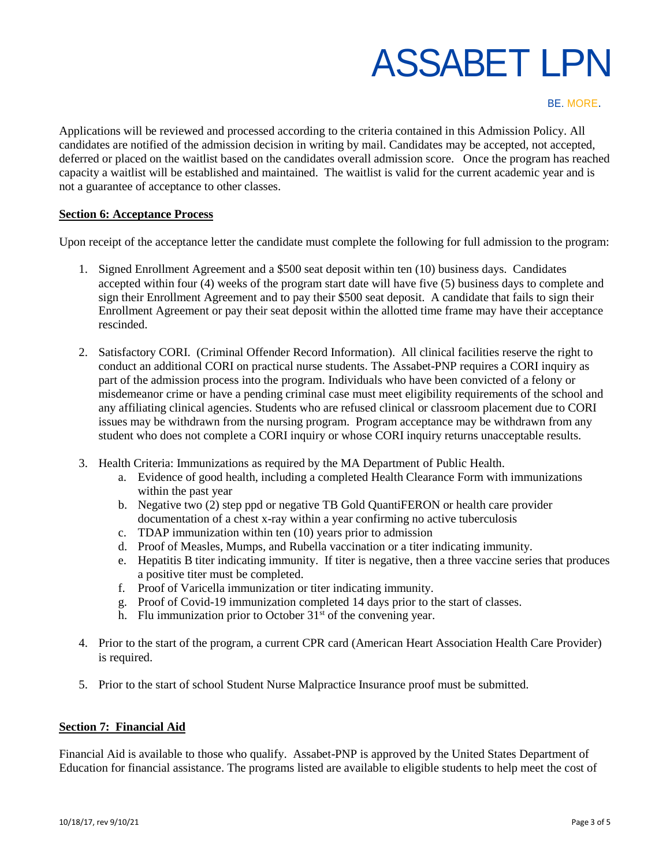#### BE. MORE.

Applications will be reviewed and processed according to the criteria contained in this Admission Policy. All candidates are notified of the admission decision in writing by mail. Candidates may be accepted, not accepted, deferred or placed on the waitlist based on the candidates overall admission score. Once the program has reached capacity a waitlist will be established and maintained. The waitlist is valid for the current academic year and is not a guarantee of acceptance to other classes.

#### **Section 6: Acceptance Process**

Upon receipt of the acceptance letter the candidate must complete the following for full admission to the program:

- 1. Signed Enrollment Agreement and a \$500 seat deposit within ten (10) business days. Candidates accepted within four (4) weeks of the program start date will have five (5) business days to complete and sign their Enrollment Agreement and to pay their \$500 seat deposit. A candidate that fails to sign their Enrollment Agreement or pay their seat deposit within the allotted time frame may have their acceptance rescinded.
- 2. Satisfactory CORI. (Criminal Offender Record Information). All clinical facilities reserve the right to conduct an additional CORI on practical nurse students. The Assabet-PNP requires a CORI inquiry as part of the admission process into the program. Individuals who have been convicted of a felony or misdemeanor crime or have a pending criminal case must meet eligibility requirements of the school and any affiliating clinical agencies. Students who are refused clinical or classroom placement due to CORI issues may be withdrawn from the nursing program. Program acceptance may be withdrawn from any student who does not complete a CORI inquiry or whose CORI inquiry returns unacceptable results.
- 3. Health Criteria: Immunizations as required by the MA Department of Public Health.
	- a. Evidence of good health, including a completed Health Clearance Form with immunizations within the past year
	- b. Negative two (2) step ppd or negative TB Gold QuantiFERON or health care provider documentation of a chest x-ray within a year confirming no active tuberculosis
	- c. TDAP immunization within ten (10) years prior to admission
	- d. Proof of Measles, Mumps, and Rubella vaccination or a titer indicating immunity.
	- e. Hepatitis B titer indicating immunity. If titer is negative, then a three vaccine series that produces a positive titer must be completed.
	- f. Proof of Varicella immunization or titer indicating immunity.
	- g. Proof of Covid-19 immunization completed 14 days prior to the start of classes.
	- h. Flu immunization prior to October  $31<sup>st</sup>$  of the convening year.
- 4. Prior to the start of the program, a current CPR card (American Heart Association Health Care Provider) is required.
- 5. Prior to the start of school Student Nurse Malpractice Insurance proof must be submitted.

#### **Section 7: Financial Aid**

Financial Aid is available to those who qualify. Assabet-PNP is approved by the United States Department of Education for financial assistance. The programs listed are available to eligible students to help meet the cost of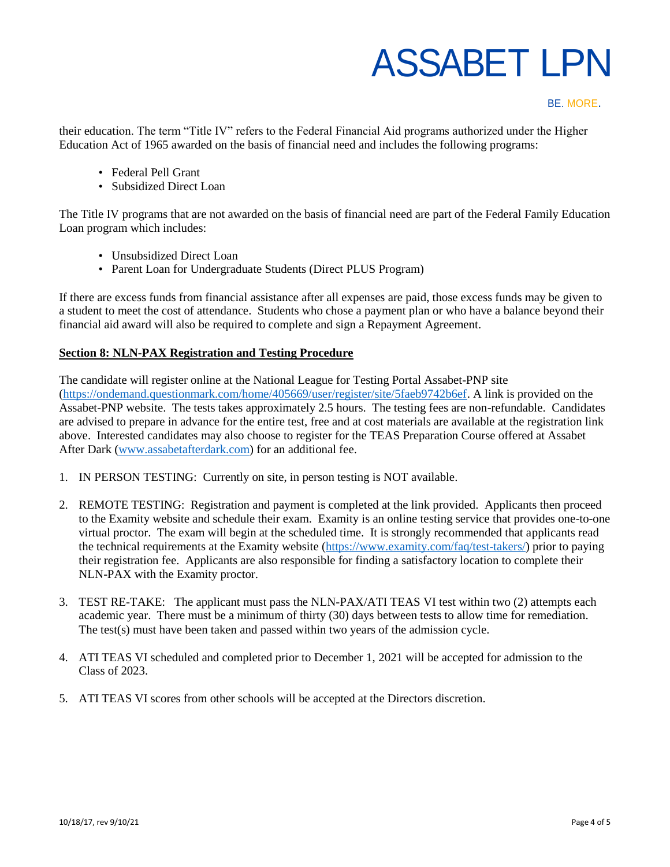#### BE. MORE.

their education. The term "Title IV" refers to the Federal Financial Aid programs authorized under the Higher Education Act of 1965 awarded on the basis of financial need and includes the following programs:

- Federal Pell Grant
- Subsidized Direct Loan

The Title IV programs that are not awarded on the basis of financial need are part of the Federal Family Education Loan program which includes:

- Unsubsidized Direct Loan
- Parent Loan for Undergraduate Students (Direct PLUS Program)

If there are excess funds from financial assistance after all expenses are paid, those excess funds may be given to a student to meet the cost of attendance. Students who chose a payment plan or who have a balance beyond their financial aid award will also be required to complete and sign a Repayment Agreement.

## **Section 8: NLN-PAX Registration and Testing Procedure**

The candidate will register online at the National League for Testing Portal Assabet-PNP site [\(https://ondemand.questionmark.com/home/405669/user/register/site/5faeb9742b6ef.](https://ondemand.questionmark.com/home/405669/user/register/site/5faeb9742b6ef) A link is provided on the Assabet-PNP website. The tests takes approximately 2.5 hours. The testing fees are non-refundable. Candidates are advised to prepare in advance for the entire test, free and at cost materials are available at the registration link above. Interested candidates may also choose to register for the TEAS Preparation Course offered at Assabet After Dark [\(www.assabetafterdark.com\)](file:///C:/Users/dbrown/Downloads/www.assabetafterdark.com) for an additional fee.

- 1. IN PERSON TESTING: Currently on site, in person testing is NOT available.
- 2. REMOTE TESTING: Registration and payment is completed at the link provided. Applicants then proceed to the Examity website and schedule their exam. Examity is an online testing service that provides one-to-one virtual proctor. The exam will begin at the scheduled time. It is strongly recommended that applicants read the technical requirements at the Examity website [\(https://www.examity.com/faq/test-takers/\)](https://www.examity.com/faq/test-takers/) prior to paying their registration fee. Applicants are also responsible for finding a satisfactory location to complete their NLN-PAX with the Examity proctor.
- 3. TEST RE-TAKE: The applicant must pass the NLN-PAX/ATI TEAS VI test within two (2) attempts each academic year. There must be a minimum of thirty (30) days between tests to allow time for remediation. The test(s) must have been taken and passed within two years of the admission cycle.
- 4. ATI TEAS VI scheduled and completed prior to December 1, 2021 will be accepted for admission to the Class of 2023.
- 5. ATI TEAS VI scores from other schools will be accepted at the Directors discretion.